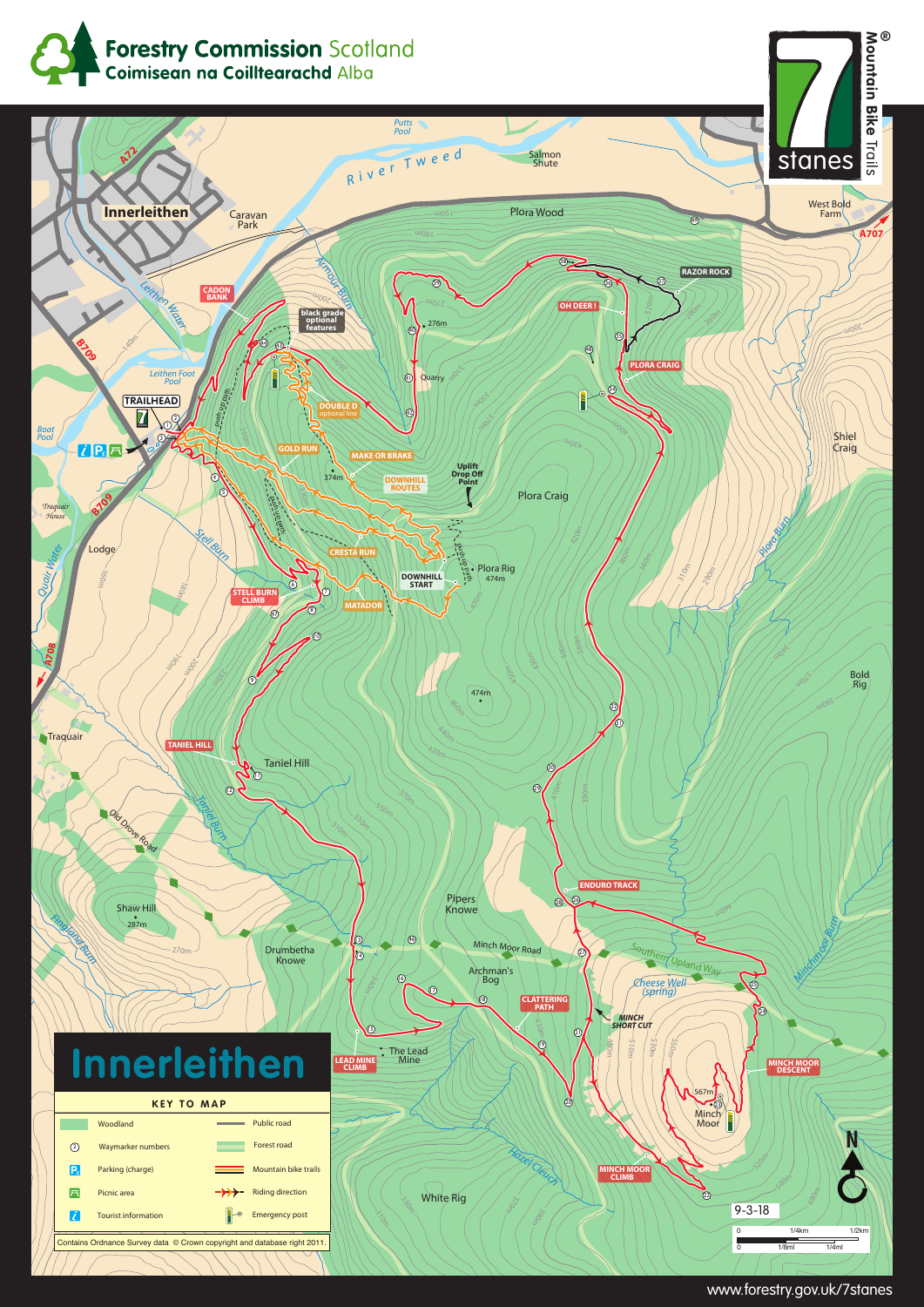







www.forestry.gov.uk/7stanes